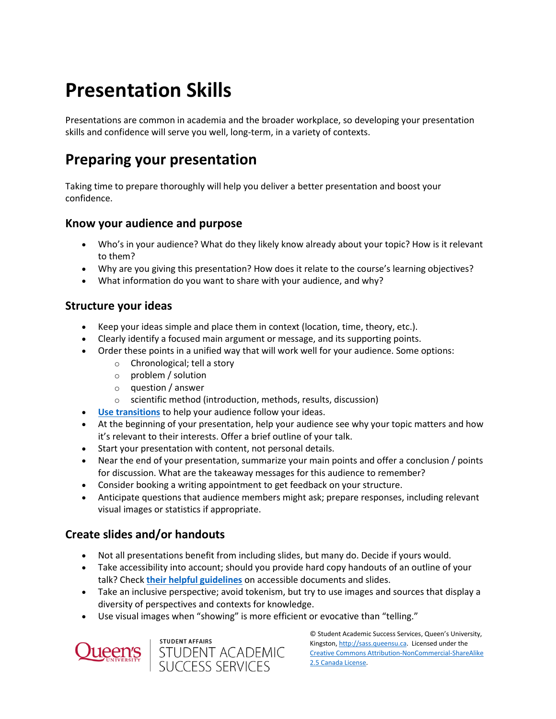# **Presentation Skills**

Presentations are common in academia and the broader workplace, so developing your presentation skills and confidence will serve you well, long-term, in a variety of contexts.

# **Preparing your presentation**

Taking time to prepare thoroughly will help you deliver a better presentation and boost your confidence.

### **Know your audience and purpose**

- Who's in your audience? What do they likely know already about your topic? How is it relevant to them?
- Why are you giving this presentation? How does it relate to the course's learning objectives?
- What information do you want to share with your audience, and why?

### **Structure your ideas**

- Keep your ideas simple and place them in context (location, time, theory, etc.).
- Clearly identify a focused main argument or message, and its supporting points.
- Order these points in a unified way that will work well for your audience. Some options:
	- o Chronological; tell a story
	- o problem / solution
	- o question / answer
	- o scientific method (introduction, methods, results, discussion)
- **[Use transitions](https://wp3-dev.its.queensu.ca/ha/sasswww/resources/transitions)** to help your audience follow your ideas.
- At the beginning of your presentation, help your audience see why your topic matters and how it's relevant to their interests. Offer a brief outline of your talk.
- Start your presentation with content, not personal details.
- Near the end of your presentation, summarize your main points and offer a conclusion / points for discussion. What are the takeaway messages for this audience to remember?
- Consider booking a writing appointment to get feedback on your structure.
- Anticipate questions that audience members might ask; prepare responses, including relevant visual images or statistics if appropriate.

### **Create slides and/or handouts**

- Not all presentations benefit from including slides, but many do. Decide if yours would.
- Take accessibility into account; should you provide hard copy handouts of an outline of your talk? Check **[their helpful guidelines](https://www.queensu.ca/accessibility/how-info/accessible-documents)** on accessible documents and slides.
- Take an inclusive perspective; avoid tokenism, but try to use images and sources that display a diversity of perspectives and contexts for knowledge.
- Use visual images when "showing" is more efficient or evocative than "telling."



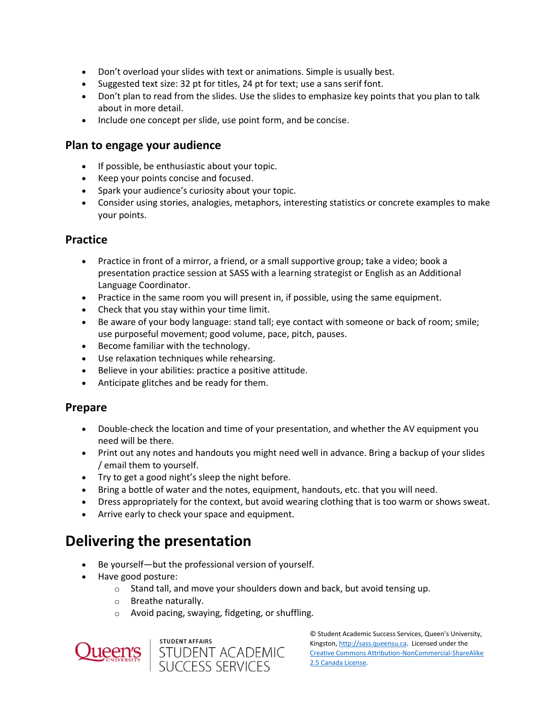- Don't overload your slides with text or animations. Simple is usually best.
- Suggested text size: 32 pt for titles, 24 pt for text; use a sans serif font.
- Don't plan to read from the slides. Use the slides to emphasize key points that you plan to talk about in more detail.
- Include one concept per slide, use point form, and be concise.

#### **Plan to engage your audience**

- If possible, be enthusiastic about your topic.
- Keep your points concise and focused.
- Spark your audience's curiosity about your topic.
- Consider using stories, analogies, metaphors, interesting statistics or concrete examples to make your points.

#### **Practice**

- Practice in front of a mirror, a friend, or a small supportive group; take a video; book a presentation practice session at SASS with a learning strategist or English as an Additional Language Coordinator.
- Practice in the same room you will present in, if possible, using the same equipment.
- Check that you stay within your time limit.
- Be aware of your body language: stand tall; eye contact with someone or back of room; smile; use purposeful movement; good volume, pace, pitch, pauses.
- Become familiar with the technology.
- Use relaxation techniques while rehearsing.
- Believe in your abilities: practice a positive attitude.
- Anticipate glitches and be ready for them.

### **Prepare**

- Double-check the location and time of your presentation, and whether the AV equipment you need will be there.
- Print out any notes and handouts you might need well in advance. Bring a backup of your slides / email them to yourself.
- Try to get a good night's sleep the night before.
- Bring a bottle of water and the notes, equipment, handouts, etc. that you will need.
- Dress appropriately for the context, but avoid wearing clothing that is too warm or shows sweat.
- Arrive early to check your space and equipment.

### **Delivering the presentation**

- Be yourself—but the professional version of yourself.
- Have good posture:
	- o Stand tall, and move your shoulders down and back, but avoid tensing up.
	- o Breathe naturally.
	- o Avoid pacing, swaying, fidgeting, or shuffling.



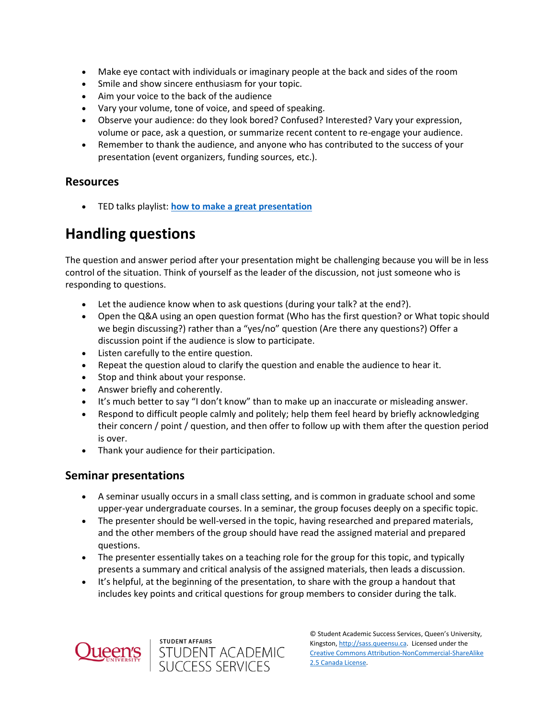- Make eye contact with individuals or imaginary people at the back and sides of the room
- Smile and show sincere enthusiasm for your topic.
- Aim your voice to the back of the audience
- Vary your volume, tone of voice, and speed of speaking.
- Observe your audience: do they look bored? Confused? Interested? Vary your expression, volume or pace, ask a question, or summarize recent content to re-engage your audience.
- Remember to thank the audience, and anyone who has contributed to the success of your presentation (event organizers, funding sources, etc.).

### **Resources**

TED talks playlist: **[how to make a great presentation](https://www.ted.com/playlists/574/how_to_make_a_great_presentation)**

### **Handling questions**

The question and answer period after your presentation might be challenging because you will be in less control of the situation. Think of yourself as the leader of the discussion, not just someone who is responding to questions.

- Let the audience know when to ask questions (during your talk? at the end?).
- Open the Q&A using an open question format (Who has the first question? or What topic should we begin discussing?) rather than a "yes/no" question (Are there any questions?) Offer a discussion point if the audience is slow to participate.
- Listen carefully to the entire question.
- Repeat the question aloud to clarify the question and enable the audience to hear it.
- Stop and think about your response.
- Answer briefly and coherently.
- It's much better to say "I don't know" than to make up an inaccurate or misleading answer.
- Respond to difficult people calmly and politely; help them feel heard by briefly acknowledging their concern / point / question, and then offer to follow up with them after the question period is over.
- Thank your audience for their participation.

### **Seminar presentations**

- A seminar usually occurs in a small class setting, and is common in graduate school and some upper-year undergraduate courses. In a seminar, the group focuses deeply on a specific topic.
- The presenter should be well-versed in the topic, having researched and prepared materials, and the other members of the group should have read the assigned material and prepared questions.
- The presenter essentially takes on a teaching role for the group for this topic, and typically presents a summary and critical analysis of the assigned materials, then leads a discussion.
- It's helpful, at the beginning of the presentation, to share with the group a handout that includes key points and critical questions for group members to consider during the talk.



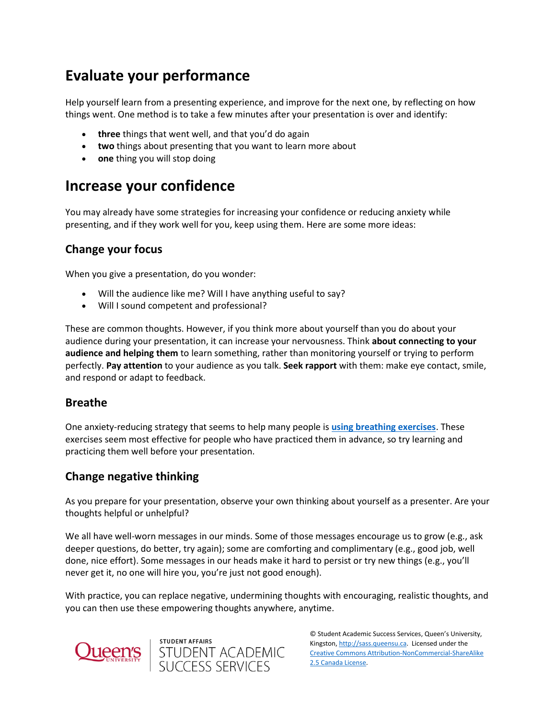# **Evaluate your performance**

Help yourself learn from a presenting experience, and improve for the next one, by reflecting on how things went. One method is to take a few minutes after your presentation is over and identify:

- **three** things that went well, and that you'd do again
- **two** things about presenting that you want to learn more about
- **one** thing you will stop doing

### **Increase your confidence**

You may already have some strategies for increasing your confidence or reducing anxiety while presenting, and if they work well for you, keep using them. Here are some more ideas:

### **Change your focus**

When you give a presentation, do you wonder:

- Will the audience like me? Will I have anything useful to say?
- Will I sound competent and professional?

These are common thoughts. However, if you think more about yourself than you do about your audience during your presentation, it can increase your nervousness. Think **about connecting to your audience and helping them** to learn something, rather than monitoring yourself or trying to perform perfectly. **Pay attention** to your audience as you talk. **Seek rapport** with them: make eye contact, smile, and respond or adapt to feedback.

### **Breathe**

One anxiety-reducing strategy that seems to help many people is **[using breathing exercises](https://wp3-dev.its.queensu.ca/ha/sasswww/resources/managing-test-anxiety)**. These exercises seem most effective for people who have practiced them in advance, so try learning and practicing them well before your presentation.

### **Change negative thinking**

As you prepare for your presentation, observe your own thinking about yourself as a presenter. Are your thoughts helpful or unhelpful?

We all have well-worn messages in our minds. Some of those messages encourage us to grow (e.g., ask deeper questions, do better, try again); some are comforting and complimentary (e.g., good job, well done, nice effort). Some messages in our heads make it hard to persist or try new things (e.g., you'll never get it, no one will hire you, you're just not good enough).

With practice, you can replace negative, undermining thoughts with encouraging, realistic thoughts, and you can then use these empowering thoughts anywhere, anytime.



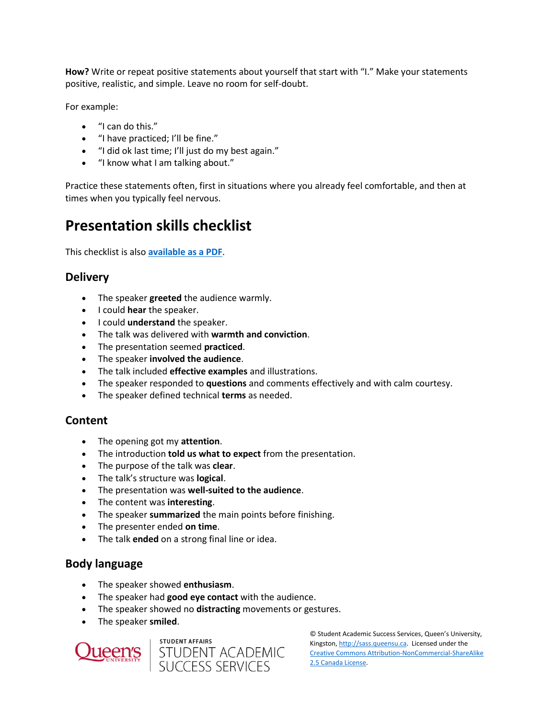**How?** Write or repeat positive statements about yourself that start with "I." Make your statements positive, realistic, and simple. Leave no room for self-doubt.

For example:

- "I can do this."
- "I have practiced; I'll be fine."
- "I did ok last time; I'll just do my best again."
- "I know what I am talking about."

Practice these statements often, first in situations where you already feel comfortable, and then at times when you typically feel nervous.

### **Presentation skills checklist**

This checklist is also **[available as a PDF](https://sass.queensu.ca/wp-content/uploads/2019/05/Presentation-Skills-Checklist-2019.pdf)**.

### **Delivery**

- The speaker **greeted** the audience warmly.
- **I could hear the speaker.**
- **I could understand** the speaker.
- The talk was delivered with **warmth and conviction**.
- The presentation seemed **practiced**.
- The speaker **involved the audience**.
- The talk included **effective examples** and illustrations.
- The speaker responded to **questions** and comments effectively and with calm courtesy.
- The speaker defined technical **terms** as needed.

### **Content**

- The opening got my **attention**.
- The introduction **told us what to expect** from the presentation.
- The purpose of the talk was **clear**.
- The talk's structure was **logical**.
- The presentation was **well-suited to the audience**.
- The content was **interesting**.
- The speaker **summarized** the main points before finishing.
- The presenter ended **on time**.
- The talk **ended** on a strong final line or idea.

### **Body language**

- The speaker showed **enthusiasm**.
- The speaker had **good eye contact** with the audience.
- The speaker showed no **distracting** movements or gestures.
- The speaker **smiled**.